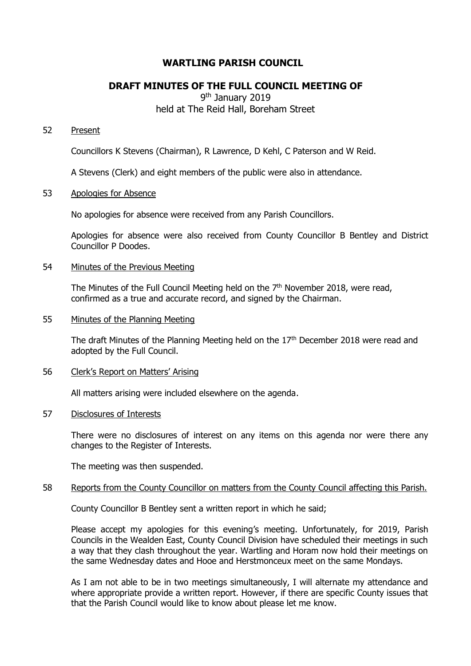# **WARTLING PARISH COUNCIL**

# **DRAFT MINUTES OF THE FULL COUNCIL MEETING OF**

9<sup>th</sup> January 2019 held at The Reid Hall, Boreham Street

# 52 Present

Councillors K Stevens (Chairman), R Lawrence, D Kehl, C Paterson and W Reid.

A Stevens (Clerk) and eight members of the public were also in attendance.

#### 53 Apologies for Absence

No apologies for absence were received from any Parish Councillors.

Apologies for absence were also received from County Councillor B Bentley and District Councillor P Doodes.

## 54 Minutes of the Previous Meeting

The Minutes of the Full Council Meeting held on the  $7<sup>th</sup>$  November 2018, were read, confirmed as a true and accurate record, and signed by the Chairman.

# 55 Minutes of the Planning Meeting

The draft Minutes of the Planning Meeting held on the  $17<sup>th</sup>$  December 2018 were read and adopted by the Full Council.

## 56 Clerk's Report on Matters' Arising

All matters arising were included elsewhere on the agenda.

### 57 Disclosures of Interests

There were no disclosures of interest on any items on this agenda nor were there any changes to the Register of Interests.

The meeting was then suspended.

#### 58 Reports from the County Councillor on matters from the County Council affecting this Parish.

County Councillor B Bentley sent a written report in which he said;

Please accept my apologies for this evening's meeting. Unfortunately, for 2019, Parish Councils in the Wealden East, County Council Division have scheduled their meetings in such a way that they clash throughout the year. Wartling and Horam now hold their meetings on the same Wednesday dates and Hooe and Herstmonceux meet on the same Mondays.

As I am not able to be in two meetings simultaneously, I will alternate my attendance and where appropriate provide a written report. However, if there are specific County issues that that the Parish Council would like to know about please let me know.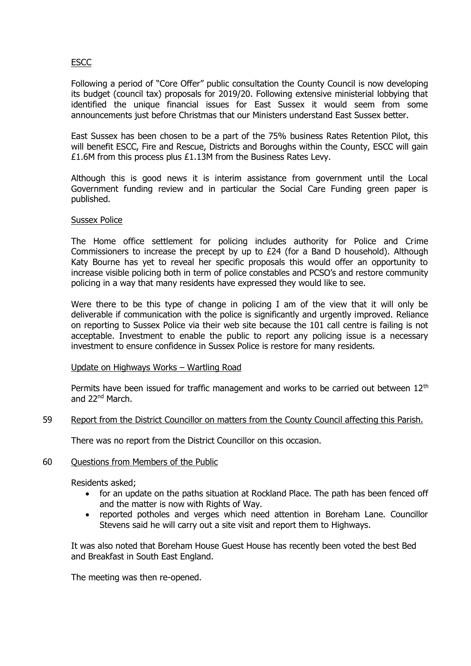# ESCC

Following a period of "Core Offer" public consultation the County Council is now developing its budget (council tax) proposals for 2019/20. Following extensive ministerial lobbying that identified the unique financial issues for East Sussex it would seem from some announcements just before Christmas that our Ministers understand East Sussex better.

East Sussex has been chosen to be a part of the 75% business Rates Retention Pilot, this will benefit ESCC, Fire and Rescue, Districts and Boroughs within the County, ESCC will gain £1.6M from this process plus £1.13M from the Business Rates Levy.

Although this is good news it is interim assistance from government until the Local Government funding review and in particular the Social Care Funding green paper is published.

## Sussex Police

The Home office settlement for policing includes authority for Police and Crime Commissioners to increase the precept by up to £24 (for a Band D household). Although Katy Bourne has yet to reveal her specific proposals this would offer an opportunity to increase visible policing both in term of police constables and PCSO's and restore community policing in a way that many residents have expressed they would like to see.

Were there to be this type of change in policing I am of the view that it will only be deliverable if communication with the police is significantly and urgently improved. Reliance on reporting to Sussex Police via their web site because the 101 call centre is failing is not acceptable. Investment to enable the public to report any policing issue is a necessary investment to ensure confidence in Sussex Police is restore for many residents.

# Update on Highways Works – Wartling Road

Permits have been issued for traffic management and works to be carried out between 12<sup>th</sup> and 22<sup>nd</sup> March.

#### 59 Report from the District Councillor on matters from the County Council affecting this Parish.

There was no report from the District Councillor on this occasion.

#### 60 Questions from Members of the Public

Residents asked;

- for an update on the paths situation at Rockland Place. The path has been fenced off and the matter is now with Rights of Way.
- reported potholes and verges which need attention in Boreham Lane. Councillor Stevens said he will carry out a site visit and report them to Highways.

It was also noted that Boreham House Guest House has recently been voted the best Bed and Breakfast in South East England.

The meeting was then re-opened.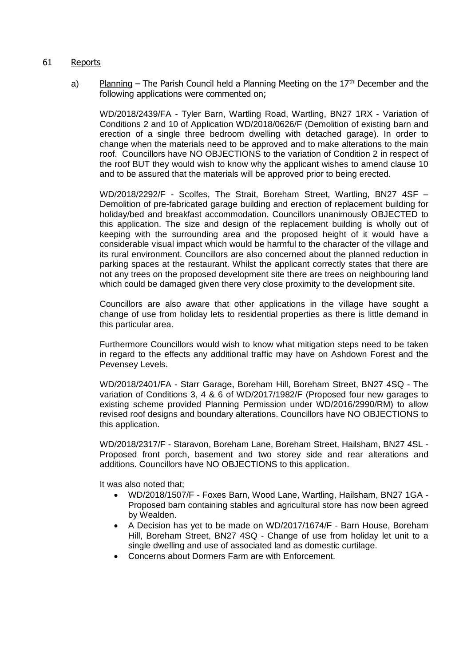- 61 Reports
	- a) Planning The Parish Council held a Planning Meeting on the  $17<sup>th</sup>$  December and the following applications were commented on;

WD/2018/2439/FA - Tyler Barn, Wartling Road, Wartling, BN27 1RX - Variation of Conditions 2 and 10 of Application WD/2018/0626/F (Demolition of existing barn and erection of a single three bedroom dwelling with detached garage). In order to change when the materials need to be approved and to make alterations to the main roof. Councillors have NO OBJECTIONS to the variation of Condition 2 in respect of the roof BUT they would wish to know why the applicant wishes to amend clause 10 and to be assured that the materials will be approved prior to being erected.

WD/2018/2292/F - Scolfes, The Strait, Boreham Street, Wartling, BN27 4SF – Demolition of pre-fabricated garage building and erection of replacement building for holiday/bed and breakfast accommodation. Councillors unanimously OBJECTED to this application. The size and design of the replacement building is wholly out of keeping with the surrounding area and the proposed height of it would have a considerable visual impact which would be harmful to the character of the village and its rural environment. Councillors are also concerned about the planned reduction in parking spaces at the restaurant. Whilst the applicant correctly states that there are not any trees on the proposed development site there are trees on neighbouring land which could be damaged given there very close proximity to the development site.

Councillors are also aware that other applications in the village have sought a change of use from holiday lets to residential properties as there is little demand in this particular area.

Furthermore Councillors would wish to know what mitigation steps need to be taken in regard to the effects any additional traffic may have on Ashdown Forest and the Pevensey Levels.

WD/2018/2401/FA - Starr Garage, Boreham Hill, Boreham Street, BN27 4SQ - The variation of Conditions 3, 4 & 6 of WD/2017/1982/F (Proposed four new garages to existing scheme provided Planning Permission under WD/2016/2990/RM) to allow revised roof designs and boundary alterations. Councillors have NO OBJECTIONS to this application.

WD/2018/2317/F - Staravon, Boreham Lane, Boreham Street, Hailsham, BN27 4SL - Proposed front porch, basement and two storey side and rear alterations and additions. Councillors have NO OBJECTIONS to this application.

It was also noted that;

- WD/2018/1507/F Foxes Barn, Wood Lane, Wartling, Hailsham, BN27 1GA Proposed barn containing stables and agricultural store has now been agreed by Wealden.
- A Decision has yet to be made on WD/2017/1674/F Barn House, Boreham Hill, Boreham Street, BN27 4SQ - Change of use from holiday let unit to a single dwelling and use of associated land as domestic curtilage.
- Concerns about Dormers Farm are with Enforcement.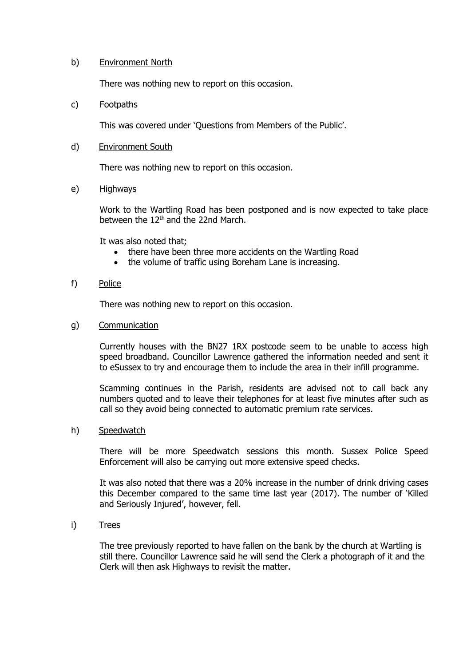# b) Environment North

There was nothing new to report on this occasion.

## c) Footpaths

This was covered under 'Questions from Members of the Public'.

## d) Environment South

There was nothing new to report on this occasion.

## e) Highways

Work to the Wartling Road has been postponed and is now expected to take place between the  $12<sup>th</sup>$  and the 22nd March.

It was also noted that;

- there have been three more accidents on the Wartling Road
- the volume of traffic using Boreham Lane is increasing.

#### f) Police

There was nothing new to report on this occasion.

g) Communication

Currently houses with the BN27 1RX postcode seem to be unable to access high speed broadband. Councillor Lawrence gathered the information needed and sent it to eSussex to try and encourage them to include the area in their infill programme.

Scamming continues in the Parish, residents are advised not to call back any numbers quoted and to leave their telephones for at least five minutes after such as call so they avoid being connected to automatic premium rate services.

### h) Speedwatch

There will be more Speedwatch sessions this month. Sussex Police Speed Enforcement will also be carrying out more extensive speed checks.

It was also noted that there was a 20% increase in the number of drink driving cases this December compared to the same time last year (2017). The number of 'Killed and Seriously Injured', however, fell.

i) Trees

The tree previously reported to have fallen on the bank by the church at Wartling is still there. Councillor Lawrence said he will send the Clerk a photograph of it and the Clerk will then ask Highways to revisit the matter.